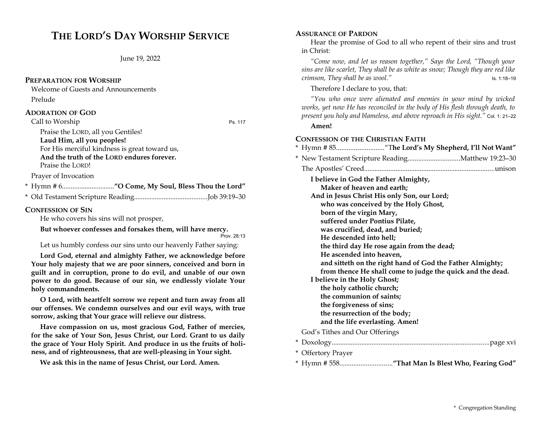# **THE LORD'S DAY WORSHIP SERVICE**

June 19, 2022

### **PREPARATION FOR WORSHIP**

Welcome of Guests and Announcements

Prelude

### **ADORATION OF GOD**

Call to Worship Ps. 117

Praise the LORD, all you Gentiles! **Laud Him, all you peoples!** For His merciful kindness is great toward us, **And the truth of the LORD endures forever.** Praise the LORD!

Prayer of Invocation

\* Hymn # 6..............................**"O Come, My Soul, Bless Thou the Lord"**

\* Old Testament Scripture Reading..........................................Job 39:19–30

### **CONFESSION OF SIN**

He who covers his sins will not prosper,

**But whoever confesses and forsakes them, will have mercy.**

Prov. 28:13

Let us humbly confess our sins unto our heavenly Father saying:

**Lord God, eternal and almighty Father, we acknowledge before Your holy majesty that we are poor sinners, conceived and born in guilt and in corruption, prone to do evil, and unable of our own power to do good. Because of our sin, we endlessly violate Your holy commandments.**

**O Lord, with heartfelt sorrow we repent and turn away from all our offenses. We condemn ourselves and our evil ways, with true sorrow, asking that Your grace will relieve our distress.**

**Have compassion on us, most gracious God, Father of mercies, for the sake of Your Son, Jesus Christ, our Lord. Grant to us daily the grace of Your Holy Spirit. And produce in us the fruits of holiness, and of righteousness, that are well-pleasing in Your sight.**

**We ask this in the name of Jesus Christ, our Lord. Amen.**

### **ASSURANCE OF PARDON**

Hear the promise of God to all who repent of their sins and trust in Christ:

*"Come now, and let us reason together," Says the Lord, "Though your sins are like scarlet, They shall be as white as snow; Though they are red like crimson, They shall be as wool."* Is. 1:18–19

Therefore I declare to you, that:

*"You who once were alienated and enemies in your mind by wicked works, yet now He has reconciled in the body of His flesh through death, to present you holy and blameless, and above reproach in His sight."* Col. 1: 21–22

### **Amen!**

### **CONFESSION OF THE CHRISTIAN FAITH**

|                                                                                                                         | * Hymn # 85"The Lord's My Shepherd, I'll Not Want″ |  |  |
|-------------------------------------------------------------------------------------------------------------------------|----------------------------------------------------|--|--|
|                                                                                                                         |                                                    |  |  |
|                                                                                                                         |                                                    |  |  |
|                                                                                                                         | I believe in God the Father Almighty,              |  |  |
| Maker of heaven and earth;                                                                                              |                                                    |  |  |
|                                                                                                                         | And in Jesus Christ His only Son, our Lord;        |  |  |
|                                                                                                                         | who was conceived by the Holy Ghost,               |  |  |
| born of the virgin Mary,                                                                                                |                                                    |  |  |
|                                                                                                                         | suffered under Pontius Pilate,                     |  |  |
|                                                                                                                         | was crucified, dead, and buried;                   |  |  |
|                                                                                                                         | He descended into hell;                            |  |  |
|                                                                                                                         | the third day He rose again from the dead;         |  |  |
|                                                                                                                         | He ascended into heaven,                           |  |  |
| and sitteth on the right hand of God the Father Almighty;<br>from thence He shall come to judge the quick and the dead. |                                                    |  |  |
|                                                                                                                         |                                                    |  |  |
|                                                                                                                         | the holy catholic church;                          |  |  |
|                                                                                                                         | the communion of saints;                           |  |  |
|                                                                                                                         | the forgiveness of sins;                           |  |  |
|                                                                                                                         | the resurrection of the body;                      |  |  |
|                                                                                                                         | and the life everlasting. Amen!                    |  |  |
|                                                                                                                         | God's Tithes and Our Offerings                     |  |  |
|                                                                                                                         |                                                    |  |  |
|                                                                                                                         | * Offertory Prayer                                 |  |  |

\* Hymn # 558..............................**"That Man Is Blest Who, Fearing God"**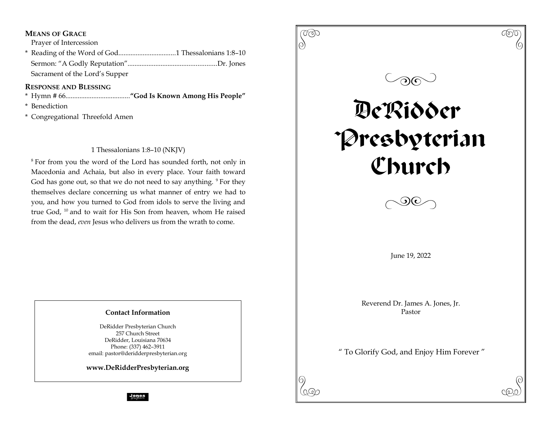### **MEANS OF GRACE**

Prayer of Intercession

\* Reading of the Word of God.................................1 Thessalonians 1:8–10 Sermon: "A Godly Reputation"...................................................Dr. Jones Sacrament of the Lord's Supper

### **RESPONSE AND BLESSING**

- \* Hymn # 66.....................................**"God Is Known Among His People"**
- \* Benediction
- \* Congregational Threefold Amen

### 1 Thessalonians 1:8–10 (NKJV)

<sup>8</sup> For from you the word of the Lord has sounded forth, not only in Macedonia and Achaia, but also in every place. Your faith toward God has gone out, so that we do not need to say anything. <sup>9</sup> For they themselves declare concerning us what manner of entry we had to you, and how you turned to God from idols to serve the living and true God, <sup>10</sup> and to wait for His Son from heaven, whom He raised from the dead, *even* Jesus who delivers us from the wrath to come.

### **Contact Information**

DeRidder Presbyterian Church 257 Church Street DeRidder, Louisiana 70634 Phone: (337) 462–3911 email: pastor@deridderpresbyterian.org

**www.DeRidderPresbyterian.org**



**Jones**<br>graphics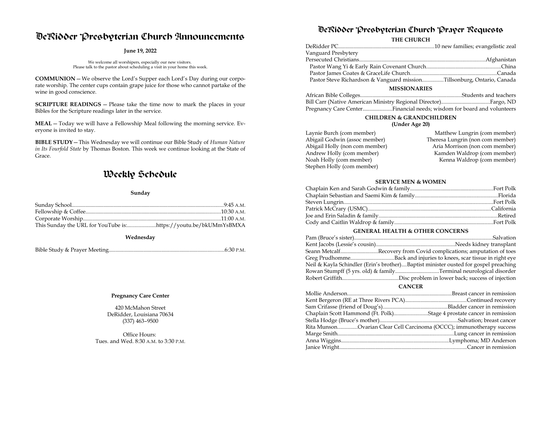## DeRidder Presbyterian Church Announcements

#### **June 19, 2022**

We welcome all worshipers, especially our new visitors. Please talk to the pastor about scheduling a visit in your home this week.

**COMMUNION**—We observe the Lord's Supper each Lord's Day during our corporate worship. The center cups contain grape juice for those who cannot partake of the wine in good conscience.

**SCRIPTURE READINGS** — Please take the time now to mark the places in your Bibles for the Scripture readings later in the service.

**MEAL**—Today we will have a Fellowship Meal following the morning service. Everyone is invited to stay.

**BIBLE STUDY**—This Wednesday we will continue our Bible Study of *Human Nature in Its Fourfold State* by Thomas Boston. This week we continue looking at the State of Grace.

## Weekly Schedule

#### **Sunday**

#### **Wednesday**

#### **Pregnancy Care Center**

420 McMahon Street DeRidder, Louisiana 70634 (337) 463–9500

Office Hours: Tues. and Wed. 8:30 A.M. to 3:30 P.M.

## DeRidder Presbyterian Church Prayer Requests

#### **THE CHURCH**

| Vanguard Presbytery                                                    |                                                         |
|------------------------------------------------------------------------|---------------------------------------------------------|
|                                                                        |                                                         |
|                                                                        |                                                         |
|                                                                        |                                                         |
| Pastor Steve Richardson & Vanguard missionTillsonburg, Ontario, Canada |                                                         |
| <b>MISSIONARIES</b>                                                    |                                                         |
| $\mathbf{a}$ , and $\mathbf{a}$ , and $\mathbf{a}$ , and $\mathbf{a}$  | $\sim$ $\sim$ $\sim$ $\sim$ $\sim$ $\sim$ $\sim$ $\sim$ |

| Pregnancy Care CenterFinancial needs; wisdom for board and volunteers |  |
|-----------------------------------------------------------------------|--|

### **CHILDREN & GRANDCHILDREN**

#### **(Under Age 20)**

| Laynie Burch (com member)      | Matthew Lungrin (com member)     |
|--------------------------------|----------------------------------|
| Abigail Godwin (assoc member)  | Theresa Lungrin (non com member) |
| Abigail Holly (non com member) | Aria Morrison (non com member)   |
| Andrew Holly (com member)      | Kamden Waldrop (com member)      |
| Noah Holly (com member)        | Kenna Waldrop (com member)       |
| Stephen Holly (com member)     |                                  |

#### **SERVICE MEN & WOMEN**

#### **GENERAL HEALTH & OTHER CONCERNS**

| Seann MetcalfRecovery from Covid complications; amputation of toes                  |
|-------------------------------------------------------------------------------------|
|                                                                                     |
| Neil & Kayla Schindler (Erin's brother)Baptist minister ousted for gospel preaching |
|                                                                                     |
|                                                                                     |
|                                                                                     |

#### **CANCER**

| Rita MunsonOvarian Clear Cell Carcinoma (OCCC); immunotherapy success |
|-----------------------------------------------------------------------|
|                                                                       |
|                                                                       |
|                                                                       |
|                                                                       |